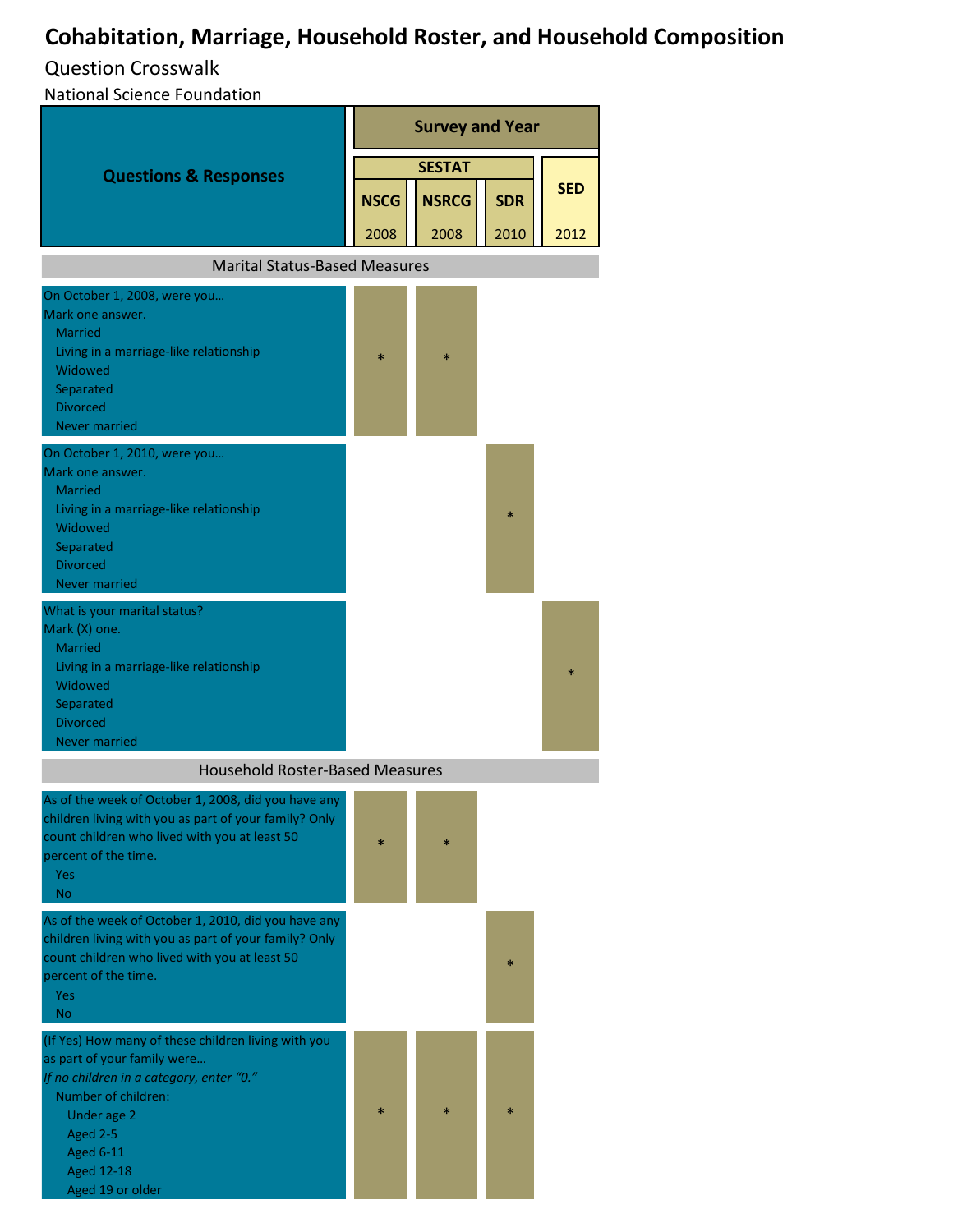## **Cohabitation, Marriage, Household Roster, and Household Composition**

## Question Crosswalk

National Science Foundation

| <b>Questions &amp; Responses</b>                                                                       | <b>Survey and Year</b> |              |            |            |  |  |
|--------------------------------------------------------------------------------------------------------|------------------------|--------------|------------|------------|--|--|
|                                                                                                        | <b>SESTAT</b>          |              |            |            |  |  |
|                                                                                                        | <b>NSCG</b>            | <b>NSRCG</b> | <b>SDR</b> | <b>SED</b> |  |  |
|                                                                                                        |                        |              |            |            |  |  |
|                                                                                                        | 2008                   | 2008         | 2010       | 2012       |  |  |
| <b>Marital Status-Based Measures</b>                                                                   |                        |              |            |            |  |  |
| On October 1, 2008, were you                                                                           |                        |              |            |            |  |  |
| Mark one answer.                                                                                       |                        |              |            |            |  |  |
| <b>Married</b><br>Living in a marriage-like relationship                                               |                        |              |            |            |  |  |
| Widowed                                                                                                | $\ast$                 | $\ast$       |            |            |  |  |
| Separated                                                                                              |                        |              |            |            |  |  |
| <b>Divorced</b>                                                                                        |                        |              |            |            |  |  |
| Never married                                                                                          |                        |              |            |            |  |  |
| On October 1, 2010, were you<br>Mark one answer.                                                       |                        |              |            |            |  |  |
| <b>Married</b>                                                                                         |                        |              |            |            |  |  |
| Living in a marriage-like relationship                                                                 |                        |              | *          |            |  |  |
| Widowed                                                                                                |                        |              |            |            |  |  |
| Separated<br><b>Divorced</b>                                                                           |                        |              |            |            |  |  |
| Never married                                                                                          |                        |              |            |            |  |  |
| What is your marital status?                                                                           |                        |              |            |            |  |  |
| Mark (X) one.                                                                                          |                        |              |            |            |  |  |
| <b>Married</b>                                                                                         |                        |              |            |            |  |  |
| Living in a marriage-like relationship<br>Widowed                                                      |                        |              |            | $\star$    |  |  |
| Separated                                                                                              |                        |              |            |            |  |  |
| <b>Divorced</b>                                                                                        |                        |              |            |            |  |  |
| <b>Never married</b>                                                                                   |                        |              |            |            |  |  |
| <b>Household Roster-Based Measures</b>                                                                 |                        |              |            |            |  |  |
| As of the week of October 1, 2008, did you have any                                                    |                        |              |            |            |  |  |
| children living with you as part of your family? Only<br>count children who lived with you at least 50 |                        |              |            |            |  |  |
| percent of the time.                                                                                   | $\ast$                 | $\ast$       |            |            |  |  |
| Yes                                                                                                    |                        |              |            |            |  |  |
| <b>No</b>                                                                                              |                        |              |            |            |  |  |
| As of the week of October 1, 2010, did you have any                                                    |                        |              |            |            |  |  |
| children living with you as part of your family? Only<br>count children who lived with you at least 50 |                        |              |            |            |  |  |
| percent of the time.                                                                                   |                        |              | $\ast$     |            |  |  |
| Yes                                                                                                    |                        |              |            |            |  |  |
| <b>No</b>                                                                                              |                        |              |            |            |  |  |
| (If Yes) How many of these children living with you                                                    |                        |              |            |            |  |  |
| as part of your family were<br>If no children in a category, enter "0."                                |                        |              |            |            |  |  |
| Number of children:                                                                                    |                        |              |            |            |  |  |
| Under age 2                                                                                            | $\ast$                 | $\ast$       | $\ast$     |            |  |  |
| Aged 2-5                                                                                               |                        |              |            |            |  |  |
| <b>Aged 6-11</b>                                                                                       |                        |              |            |            |  |  |
| <b>Aged 12-18</b><br>Aged 19 or older                                                                  |                        |              |            |            |  |  |